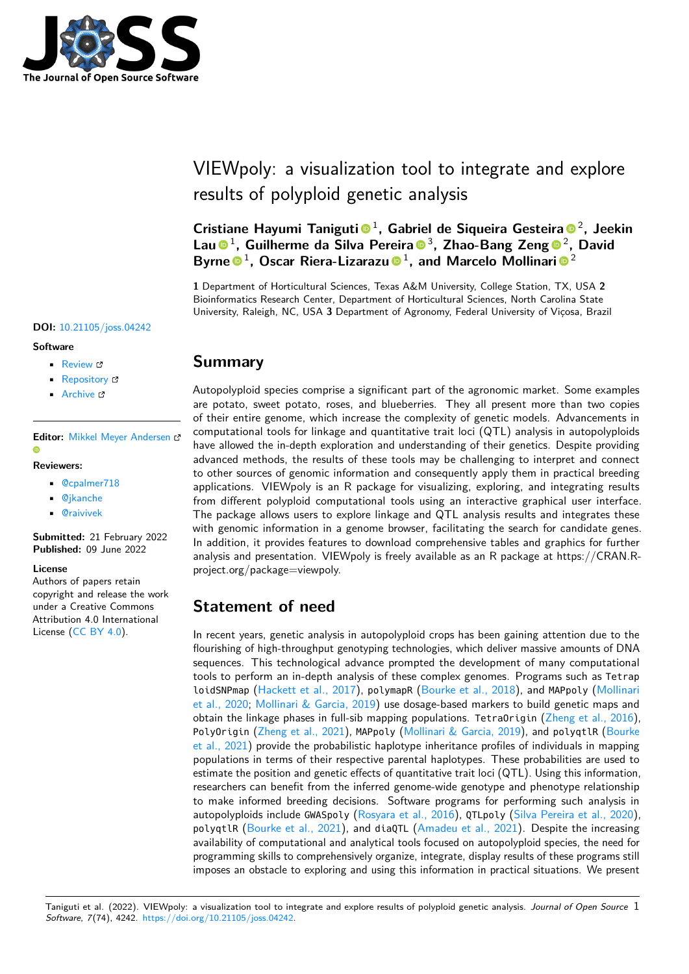

# VIEWpoly: a visualization tool to integrate and explore results of polyploid genetic analysis

Cristiane Hayumi Taniguti<sup>o 1</sup>, Gabriel de Siqueira Gesteira<sup>o 2</sup>, Jeekin Lau<sup>®</sup><sup>1</sup>, Guilherme da Silva Pereira<sup>®</sup><sup>3</sup>, Zhao-Bang Zeng<sup>®</sup><sup>2</sup>, David Byrne <sup>® 1</sup>, Oscar Riera-Lizarazu <sup>® 1</sup>, and Marcelo Mollinari <sup>® 2</sup>

**1** Department of Horticultural Sciences, Texas A&M University, College Station, TX, USA **2** Bioinformatics Research Center, Department of Horticultural Sciences, North Carolina State University, Raleigh, NC, USA **3** Department of Agronomy, Federal University of Viçosa, Brazil

#### **DOI:** [10.21105/joss.04242](https://doi.org/10.21105/joss.04242)

#### **Software**

- [Review](https://github.com/openjournals/joss-reviews/issues/4242) L'
- [Repository](https://github.com/mmollina/viewpoly) &
- [Archive](https://doi.org/10.5281/zenodo.6621089) C

#### **Editor:** [Mikkel Meyer Andersen](https://twitter.com/mikldk)  $\bullet$

#### **Reviewers:**

- [@cpalmer718](https://github.com/cpalmer718)
- [@jkanche](https://github.com/jkanche)
- [@raivivek](https://github.com/raivivek)

**Submitted:** 21 February 2022 **Published:** 09 June 2022

#### **License**

Authors of papers retain copyright and release the work under a Creative Commons Attribution 4.0 International License [\(CC BY 4.0\)](https://creativecommons.org/licenses/by/4.0/).

### **Summary**

Autopolyploid species comprise a significant part of the agronomic market. Some examples are potato, sweet potato, roses, and blueberries. They all present more than two copies of their entire genome, which increase the complexity of genetic models. Advancements in computational tools for linkage and quantitative trait loci (QTL) analysis in autopolyploids have allowed the in-depth exploration and understanding of their genetics. Despite providing advanced methods, the results of these tools may be challenging to interpret and connect to other sources of genomic information and consequently apply them in practical breeding applications. VIEWpoly is an R package for visualizing, exploring, and integrating results from different polyploid computational tools using an interactive graphical user interface. The package allows users to explore linkage and QTL analysis results and integrates these with genomic information in a genome browser, facilitating the search for candidate genes. In addition, it provides features to download comprehensive tables and graphics for further analysis and presentation. VIEWpoly is freely available as an R package at https://CRAN.Rproject.org/package=viewpoly.

# **Statement of need**

In recent years, genetic analysis in autopolyploid crops has been gaining attention due to the flourishing of high-throughput genotyping technologies, which deliver massive amounts of DNA sequences. This technological advance prompted the development of many computational tools to perform an in-depth analysis of these complex genomes. Programs such as Tetrap loidSNPmap [\(Hackett et al., 2017\)](#page-3-0), polymapR [\(Bourke et al., 2018\)](#page-3-1), and MAPpoly [\(Mollinari](#page-3-2) [et al., 2020;](#page-3-2) [Mollinari & Garcia, 2019\)](#page-3-3) use dosage-based markers to build genetic maps and obtain the linkage phases in full-sib mapping populations. TetraOrigin [\(Zheng et al., 2016\)](#page-3-4), PolyOrigin [\(Zheng et al., 2021\)](#page-3-5), MAPpoly [\(Mollinari & Garcia, 2019\)](#page-3-3), and polyqtlR [\(Bourke](#page-3-6) [et al., 2021\)](#page-3-6) provide the probabilistic haplotype inheritance profiles of individuals in mapping populations in terms of their respective parental haplotypes. These probabilities are used to estimate the position and genetic effects of quantitative trait loci (QTL). Using this information, researchers can benefit from the inferred genome-wide genotype and phenotype relationship to make informed breeding decisions. Software programs for performing such analysis in autopolyploids include GWASpoly [\(Rosyara et al., 2016\)](#page-3-7), QTLpoly [\(Silva Pereira et al., 2020\)](#page-3-8), polyqtlR [\(Bourke et al., 2021\)](#page-3-6), and diaQTL [\(Amadeu et al., 2021\)](#page-3-9). Despite the increasing availability of computational and analytical tools focused on autopolyploid species, the need for programming skills to comprehensively organize, integrate, display results of these programs still imposes an obstacle to exploring and using this information in practical situations. We present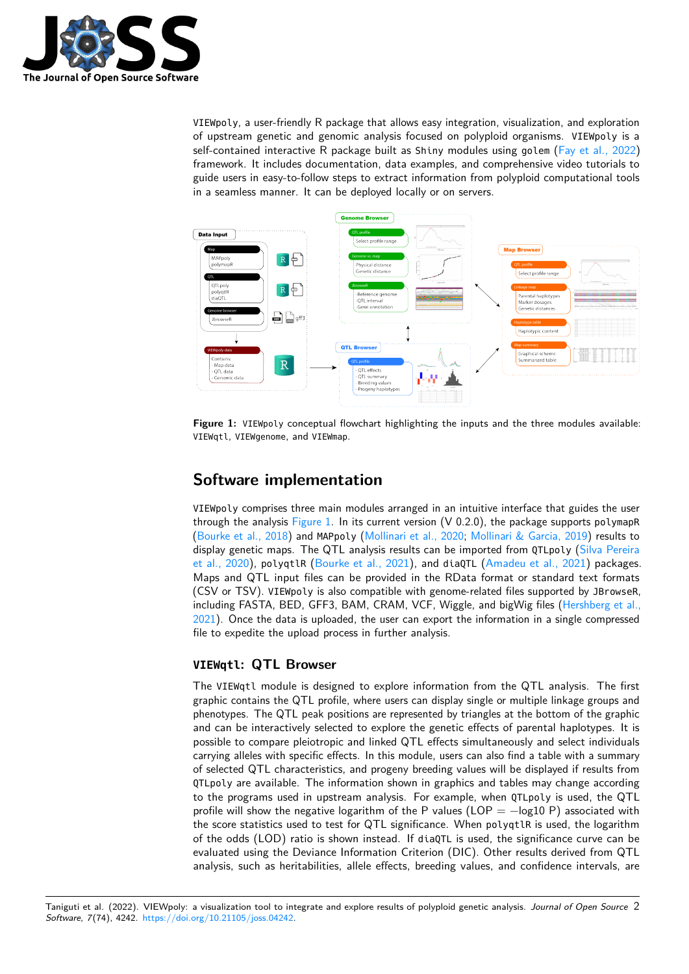

VIEWpoly, a user-friendly R package that allows easy integration, visualization, and exploration of upstream genetic and genomic analysis focused on polyploid organisms. VIEWpoly is a self-contained interactive R package built as Shiny modules using golem [\(Fay et al., 2022\)](#page-3-10) framework. It includes documentation, data examples, and comprehensive video tutorials to guide users in easy-to-follow steps to extract information from polyploid computational tools in a seamless manner. It can be deployed locally or on servers.

<span id="page-1-0"></span>

**Figure 1:** VIEWpoly conceptual flowchart highlighting the inputs and the three modules available: VIEWqtl, VIEWgenome, and VIEWmap.

# **Software implementation**

VIEWpoly comprises three main modules arranged in an intuitive interface that guides the user through the analysis [Figure 1.](#page-1-0) In its current version  $(V 0.2.0)$ , the package supports polymapR [\(Bourke et al., 2018\)](#page-3-1) and MAPpoly [\(Mollinari et al., 2020;](#page-3-2) [Mollinari & Garcia, 2019\)](#page-3-3) results to display genetic maps. The QTL analysis results can be imported from QTLpoly [\(Silva Pereira](#page-3-8) [et al., 2020\)](#page-3-8), polyqtlR [\(Bourke et al., 2021\)](#page-3-6), and diaQTL [\(Amadeu et al., 2021\)](#page-3-9) packages. Maps and QTL input files can be provided in the RData format or standard text formats (CSV or TSV). VIEWpoly is also compatible with genome-related files supported by JBrowseR, including FASTA, BED, GFF3, BAM, CRAM, VCF, Wiggle, and bigWig files [\(Hershberg et al.,](#page-3-11) [2021\)](#page-3-11). Once the data is uploaded, the user can export the information in a single compressed file to expedite the upload process in further analysis.

### **VIEWqtl: QTL Browser**

The VIEWqtl module is designed to explore information from the QTL analysis. The first graphic contains the QTL profile, where users can display single or multiple linkage groups and phenotypes. The QTL peak positions are represented by triangles at the bottom of the graphic and can be interactively selected to explore the genetic effects of parental haplotypes. It is possible to compare pleiotropic and linked QTL effects simultaneously and select individuals carrying alleles with specific effects. In this module, users can also find a table with a summary of selected QTL characteristics, and progeny breeding values will be displayed if results from QTLpoly are available. The information shown in graphics and tables may change according to the programs used in upstream analysis. For example, when QTLpoly is used, the QTL profile will show the negative logarithm of the P values (LOP =  $-\log 10$  P) associated with the score statistics used to test for QTL significance. When polyqtlR is used, the logarithm of the odds (LOD) ratio is shown instead. If diaQTL is used, the significance curve can be evaluated using the Deviance Information Criterion (DIC). Other results derived from QTL analysis, such as heritabilities, allele effects, breeding values, and confidence intervals, are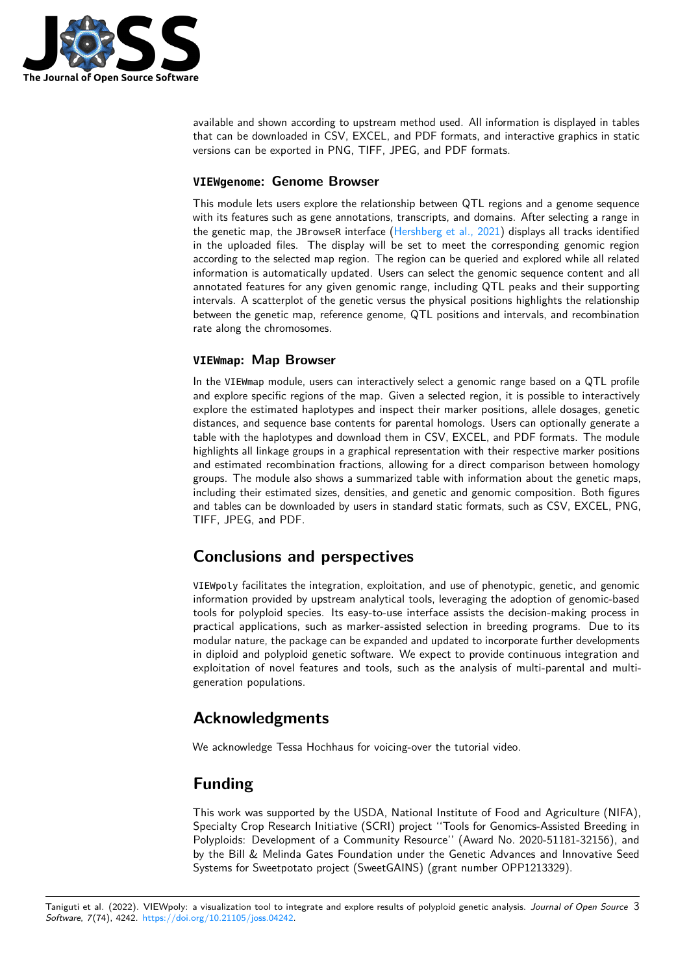

available and shown according to upstream method used. All information is displayed in tables that can be downloaded in CSV, EXCEL, and PDF formats, and interactive graphics in static versions can be exported in PNG, TIFF, JPEG, and PDF formats.

#### **VIEWgenome: Genome Browser**

This module lets users explore the relationship between QTL regions and a genome sequence with its features such as gene annotations, transcripts, and domains. After selecting a range in the genetic map, the JBrowseR interface [\(Hershberg et al., 2021\)](#page-3-11) displays all tracks identified in the uploaded files. The display will be set to meet the corresponding genomic region according to the selected map region. The region can be queried and explored while all related information is automatically updated. Users can select the genomic sequence content and all annotated features for any given genomic range, including QTL peaks and their supporting intervals. A scatterplot of the genetic versus the physical positions highlights the relationship between the genetic map, reference genome, QTL positions and intervals, and recombination rate along the chromosomes.

#### **VIEWmap: Map Browser**

In the VIEWmap module, users can interactively select a genomic range based on a QTL profile and explore specific regions of the map. Given a selected region, it is possible to interactively explore the estimated haplotypes and inspect their marker positions, allele dosages, genetic distances, and sequence base contents for parental homologs. Users can optionally generate a table with the haplotypes and download them in CSV, EXCEL, and PDF formats. The module highlights all linkage groups in a graphical representation with their respective marker positions and estimated recombination fractions, allowing for a direct comparison between homology groups. The module also shows a summarized table with information about the genetic maps, including their estimated sizes, densities, and genetic and genomic composition. Both figures and tables can be downloaded by users in standard static formats, such as CSV, EXCEL, PNG, TIFF, JPEG, and PDF.

## **Conclusions and perspectives**

VIEWpoly facilitates the integration, exploitation, and use of phenotypic, genetic, and genomic information provided by upstream analytical tools, leveraging the adoption of genomic-based tools for polyploid species. Its easy-to-use interface assists the decision-making process in practical applications, such as marker-assisted selection in breeding programs. Due to its modular nature, the package can be expanded and updated to incorporate further developments in diploid and polyploid genetic software. We expect to provide continuous integration and exploitation of novel features and tools, such as the analysis of multi-parental and multigeneration populations.

### **Acknowledgments**

We acknowledge Tessa Hochhaus for voicing-over the tutorial video.

## **Funding**

This work was supported by the USDA, National Institute of Food and Agriculture (NIFA), Specialty Crop Research Initiative (SCRI) project ''Tools for Genomics-Assisted Breeding in Polyploids: Development of a Community Resource'' (Award No. 2020-51181-32156), and by the Bill & Melinda Gates Foundation under the Genetic Advances and Innovative Seed Systems for Sweetpotato project (SweetGAINS) (grant number OPP1213329).